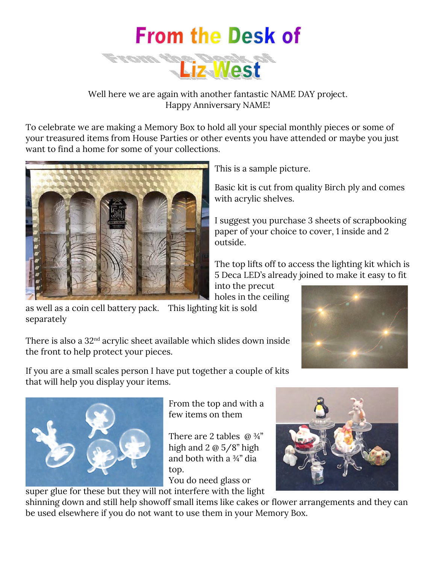

Well here we are again with another fantastic NAME DAY project. Happy Anniversary NAME!

To celebrate we are making a Memory Box to hold all your special monthly pieces or some of your treasured items from House Parties or other events you have attended or maybe you just want to find a home for some of your collections.



This is a sample picture.

Basic kit is cut from quality Birch ply and comes with acrylic shelves.

I suggest you purchase 3 sheets of scrapbooking paper of your choice to cover, 1 inside and 2 outside.

The top lifts off to access the lighting kit which is 5 Deca LED's already joined to make it easy to fit

into the precut holes in the ceiling

as well as a coin cell battery pack. This lighting kit is sold separately

There is also a 32nd acrylic sheet available which slides down inside the front to help protect your pieces.

If you are a small scales person I have put together a couple of kits that will help you display your items.



From the top and with a few items on them

There are 2 tables  $\omega_{4}$ " high and 2 @ 5/8" high and both with a ¾" dia top.

You do need glass or super glue for these but they will not interfere with the light



shinning down and still help showoff small items like cakes or flower arrangements and they can be used elsewhere if you do not want to use them in your Memory Box.